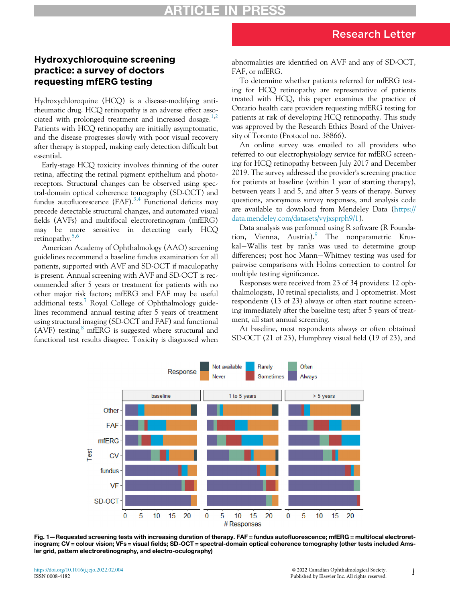## Hydroxychloroquine screening practice: a survey of doctors requesting mfERG testing

Hydroxychloroquine (HCQ) is a disease-modifying antirheumatic drug. HCQ retinopathy is an adverse effect asso-ciated with prolonged treatment and increased dosage.<sup>[1,](#page-2-0)[2](#page-2-1)</sup> Patients with HCQ retinopathy are initially asymptomatic, and the disease progresses slowly with poor visual recovery after therapy is stopped, making early detection difficult but essential.

Early-stage HCQ toxicity involves thinning of the outer retina, affecting the retinal pigment epithelium and photoreceptors. Structural changes can be observed using spectral-domain optical coherence tomography (SD-OCT) and fundus autofluorescence (FAF).<sup>[3](#page-2-2)[,4](#page-2-3)</sup> Functional deficits may precede detectable structural changes, and automated visual fields (AVFs) and multifocal electroretinogram (mfERG) may be more sensitive in detecting early HCQ retinopathy.[5](#page-2-4),[6](#page-2-5)

American Academy of Ophthalmology (AAO) screening guidelines recommend a baseline fundus examination for all patients, supported with AVF and SD-OCT if maculopathy is present. Annual screening with AVF and SD-OCT is recommended after 5 years or treatment for patients with no other major risk factors; mfERG and FAF may be useful additional tests.<sup>[7](#page-2-6)</sup> Royal College of Ophthalmology guidelines recommend annual testing after 5 years of treatment using structural imaging (SD-OCT and FAF) and functional (AVF) testing. $\delta$  mfERG is suggested where structural and functional test results disagree. Toxicity is diagnosed when abnormalities are identified on AVF and any of SD-OCT, FAF, or mfERG.

To determine whether patients referred for mfERG testing for HCQ retinopathy are representative of patients treated with HCQ, this paper examines the practice of Ontario health care providers requesting mfERG testing for patients at risk of developing HCQ retinopathy. This study was approved by the Research Ethics Board of the University of Toronto (Protocol no. 38866).

An online survey was emailed to all providers who referred to our electrophysiology service for mfERG screening for HCQ retinopathy between July 2017 and December 2019. The survey addressed the provider's screening practice for patients at baseline (within 1 year of starting therapy), between years 1 and 5, and after 5 years of therapy. Survey questions, anonymous survey responses, and analysis code are available to download from Mendeley Data ([https://](https://data.mendeley.com/datasets/vyjxsprph9/1) [data.mendeley.com/datasets/vyjxsprph9/1\)](https://data.mendeley.com/datasets/vyjxsprph9/1).

Data analysis was performed using R software (R Founda-tion, Vienna, Austria).<sup>[9](#page-2-8)</sup> The nonparametric Kruskal-Wallis test by ranks was used to determine group differences; post hoc Mann-Whitney testing was used for pairwise comparisons with Holms correction to control for multiple testing significance.

Responses were received from 23 of 34 providers: 12 ophthalmologists, 10 retinal specialists, and 1 optometrist. Most respondents (13 of 23) always or often start routine screening immediately after the baseline test; after 5 years of treatment, all start annual screening.

At baseline, most respondents always or often obtained SD-OCT (21 of 23), Humphrey visual field (19 of 23), and

<span id="page-0-0"></span>

Fig. 1—Requested screening tests with increasing duration of therapy. FAF = fundus autofluorescence; mfERG = multifocal electroretinogram; CV = colour vision; VFs = visual fields; SD-OCT = spectral-domain optical coherence tomography (other tests included Amsler grid, pattern electroretinography, and electro-oculography)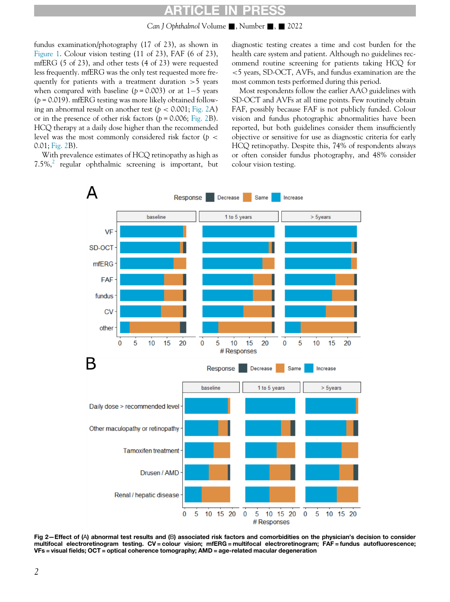# ARTICLE IN PRESS

Can J Ophthalmol Volume  $\blacksquare$ , Number  $\blacksquare$ ,  $\blacksquare$  2022

fundus examination/photography (17 of 23), as shown in [Figure 1.](#page-0-0) Colour vision testing (11 of 23), FAF (6 of 23), mfERG (5 of 23), and other tests (4 of 23) were requested less frequently. mfERG was the only test requested more frequently for patients with a treatment duration  $>5$  years when compared with baseline ( $p = 0.003$ ) or at 1-5 years  $(p = 0.019)$ . mfERG testing was more likely obtained following an abnormal result on another test ( $p < 0.001$ ; [Fig. 2](#page-1-0)A) or in the presence of other risk factors ( $p = 0.006$ ; [Fig. 2](#page-1-0)B). HCQ therapy at a daily dose higher than the recommended level was the most commonly considered risk factor ( $p <$ 0.01; [Fig. 2B](#page-1-0)).

<span id="page-1-0"></span>With prevalence estimates of HCQ retinopathy as high as  $7.5\%$ , regular ophthalmic screening is important, but diagnostic testing creates a time and cost burden for the health care system and patient. Although no guidelines recommend routine screening for patients taking HCQ for <5 years, SD-OCT, AVFs, and fundus examination are the most common tests performed during this period.

Most respondents follow the earlier AAO guidelines with SD-OCT and AVFs at all time points. Few routinely obtain FAF, possibly because FAF is not publicly funded. Colour vision and fundus photographic abnormalities have been reported, but both guidelines consider them insufficiently objective or sensitive for use as diagnostic criteria for early HCQ retinopathy. Despite this, 74% of respondents always or often consider fundus photography, and 48% consider colour vision testing.



Fig 2—Effect of (A) abnormal test results and (B) associated risk factors and comorbidities on the physician's decision to consider multifocal electroretinogram testing. CV = colour vision; mfERG = multifocal electroretinogram; FAF = fundus autofluorescence; VFs = visual fields; OCT = optical coherence tomography; AMD = age-related macular degeneration